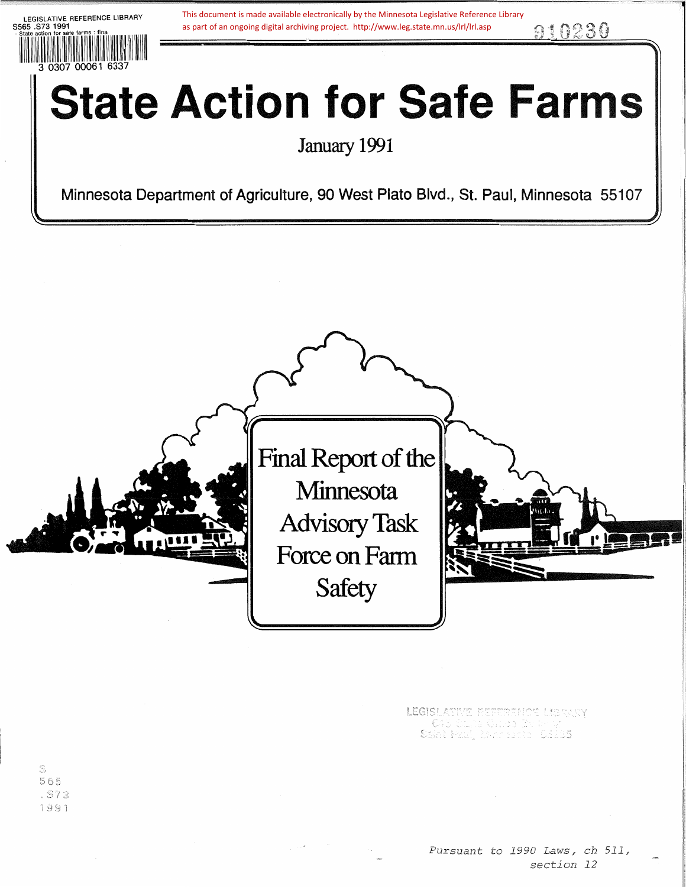LEGISLATIVE REFERENCE LIBRARY 8565 .873 1991 ·11~11~r111~1~111~1i1~il~i1111,1r1i11111111111111111111 3 0307 00061 6337 as part of an ongoing digital archiving project. http://www.leg.state.mn.us/lrl/lrl.asp  $910230$ **State Action for Safe Farms** January 1991 This document is made available electronically by the Minnesota Legislative Reference Library<br>as part of an ongoing digital archiving project. http://www.leg.state.mn.us/lrl/lrl.asp<br> $\Omega$ 

Minnesota Department of Agriculture, 90 West Plato Blvd., St. Paul, Minnesota 55107



**LEGISLATIVE REFERENCE LISRARY**<br>CAS Stude Called British<br>Saint Paul, Mannesch, 53135

S 565  $. S73$ 1991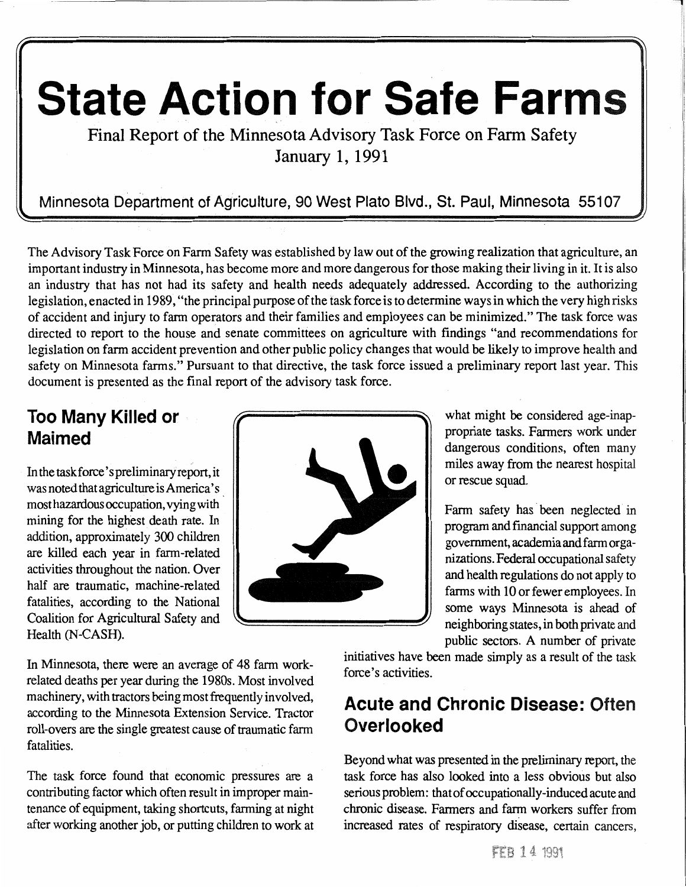# State Action for Safe Farm

Final Report of the Minnesota Advisory Task Force on Farm Safety January 1, 1991

Minnesota Department of Agriculture, 90 West Plato Blvd., St. Paul, Minnesota 55107 \~ ~I

The Advisory Task Force on Farm Safety was established by law out of the growing realization that agriculture, an important industry in Minnesota, has become more and more dangerous for those making their living in it. It is also an industry that has not had its safety and health needs adequately addressed. According to the authorizing legislation, enacted in 1989, "the principal purpose of the task force is to determine ways in which the very high risks of accident and injury to farm operators and their families and employees can be minimized." The task force was directed to report to the house and senate committees on agriculture with findings "and recommendations for legislation on farm accident prevention and other public policy changes that would be likely to improve health and safety on Minnesota farms." Pursuant to that directive, the task force issued a preliminary report last year. This document is presented as the final report of the advisory task force.

# Too Many Killed or Maimed

In the task force's preliminary report, it was noted that agriculture is America's most hazardous occupation, vying with mining for the highest death rate. In addition, approximately 300 children are killed each year in farm-related activities throughout the nation. Over half are traumatic, machine-related fatalities, according to the National Coalition for Agricultural Safety and Health (N-CASH).

what might be considered age-inappropriate tasks. Farmers work under dangerous conditions, often many miles away from the nearest hospital or rescue squad.

Farm safety has been neglected in program and financial support among government, academia and farm organizations. Federal occupational safety and health regulations do not apply to farms with 10 or fewer employees. In some ways Minnesota is ahead of neighboring states, in both private and public sectors. A number of private

In Minnesota, there were an average of 48 farm workrelated deaths per year during the 1980s. Most involved machinery, with tractors being most frequently involved, according to the Minnesota Extension Service. Tractor roll-overs are the single greatest cause of traumatic farm fatalities.

The task force found that economic pressures are a contributing factor which often result in improper maintenance of equipment, taking shortcuts, farming at night after working another job, or putting children to work at initiatives have been made simply as a result of the task force's activities.

# Acute and Chronic Disease: Often **Overlooked**

Beyond what was presented in the preliminary report, the task force has also looked into a less obvious but also serious problem: that of occupationally-induced acute and chronic disease. Farmers and farm workers suffer from increased rates of respiratory disease, certain cancers,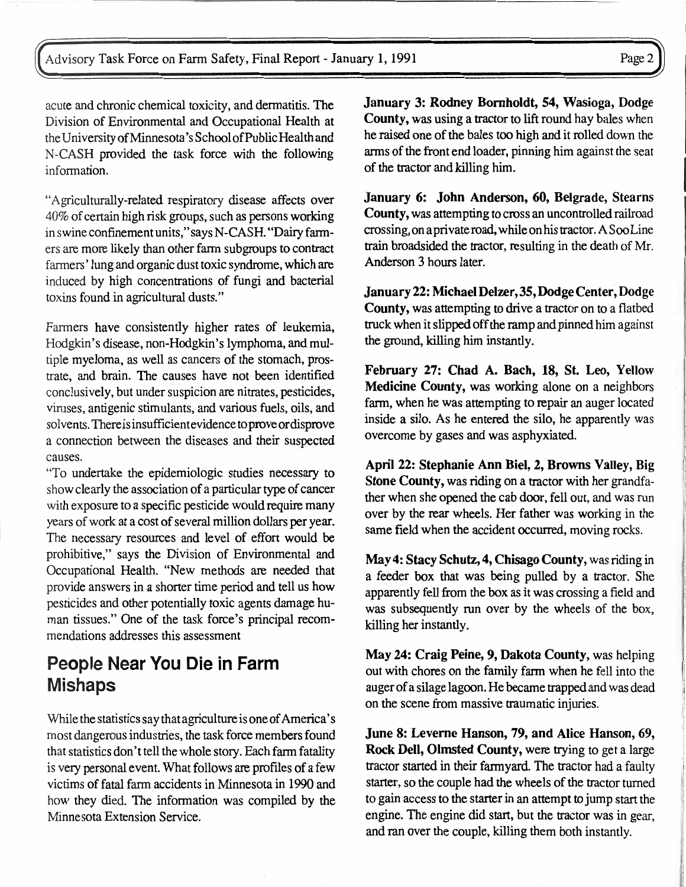acute and chronic chemical toxicity, and dermatitis. The Division of Environmental and Occupational Health at the University of Minnesota's School of Public Health and N-CASH provided the task force with the following information.

"Agriculturally-related respiratory disease affects over 40% of certain high risk groups, such as persons working in swine confinement units," says N-CASH. "Dairy farmers are more likely than other farm subgroups to contract farmers' lung and organic dust toxic syndrome, which are induced by high concentrations of fungi and bacterial toxins found in agricultural dusts."

Fanners have consistently higher rates of leukemia, Hodgkin's disease, non-Hodgkin's lymphoma, and multiple myeloma, as well as cancers of the stomach, prostrate, and brain. The causes have not been identified conclusively, but under suspicion are nitrates, pesticides, viruses, antigenic stimulants, and various fuels, oils, and solvents. There is insufficient evidence to prove or disprove a connection between the diseases and their suspected causes.

"To undertake the epidemiologic studies necessary to show clearly the association of a particular type of cancer with exposure to a specific pesticide would require many years of work at a cost of several million dollars per year. The necessary resources and level of effort would be prohibitive," says the Division of Environmental and Occupational Health. "New methods are needed that provide answers in a shorter time period and tell us how pesticides and other potentially toxic agents damage human tissues." One of the task force's principal recommendations addresses this assessment

# People Near You Die in Farm Mishaps

While the statistics say that agriculture is one of America's most dangerous industries, the task force members found that statistics don't tell the whole story. Each farm fatality is very personal event. What follows are profiles of a few victims of fatal farm accidents in Minnesota in 1990 and how they died. The information was compiled by the Minnesota Extension Service.

January 3: Rodney Bomholdt, 54, Wasioga, Dodge County, was using a tractor to lift round hay bales when he raised one of the bales too high and it rolled down the arms of the front end loader, pinning him against the seat of the tractor and killing him.

January 6: John Anderson, 60, Belgrade, Stearns County, was attempting to cross an uncontrolled railroad crossing, on a private road, while on his tractor. A Soo Line train broadsided the tractor, resulting in the death of Mr. Anderson 3 hours later.

January 22: Michael Delzer,35, Dodge Center, Dodge County, was attempting to drive a tractor on to a flatbed truck when it slipped off the ramp and pinned him against the ground, killing him instantly.

February 27: Chad A. Bach, 18, St. Leo, Yellow Medicine County, was working alone on a neighbors farm, when he was attempting to repair an auger located inside a silo. As he entered the silo, he apparently was overcome by gases and was asphyxiated.

April 22: Stephanie Ann Biel, 2, Browns Valley, Big Stone County, was riding on a tractor with her grandfather when she opened the cab door, fell out, and was run over by the rear wheels. Her father was working in the same field when the accident occurred, moving rocks.

May 4: Stacy Schutz, 4, Chisago County, was riding in a feeder box that was being pulled by a tractor. She apparently fell from the box as it was crossing a field and was subsequently run over by the wheels of the box, killing her instantly.

May 24: Craig Peine, 9, Dakota County, was helping out with chores on the family farm when he fell into the auger of a silage lagoon. He became trapped and was dead on the scene from massive traumatic injuries.

June 8: Leveme Hanson, 79, and Alice Hanson, 69, Rock Dell, Olmsted County, were trying to get a large tractor started in their fannyard. The tractor had a faulty starter, so the couple had the wheels of the tractor turned to gain access to the starter in an attempt to jump start the engine. The engine did start, but the tractor was in gear, and ran over the couple, killing them both instantly.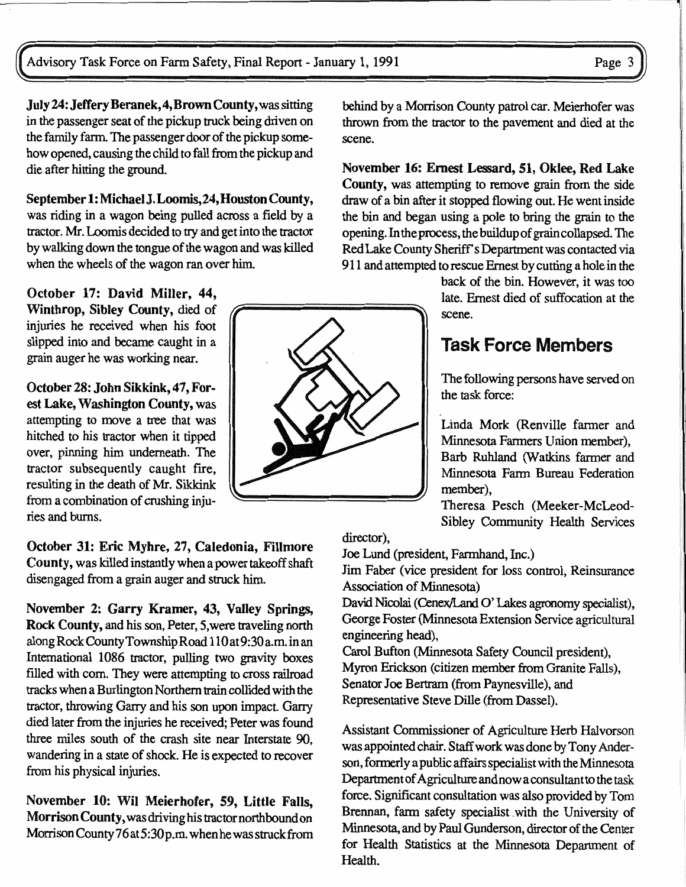July24: Jeffery Beranek,4,Brown County, was sitting in the passenger seat of the pickup truck being driven on the family farm. The passenger door of the pickup somehow opened, causing the child to fall from the pickup and die after hitting the ground.

September 1: MichaelJ.Loomis,24,Houston County, was riding in a wagon being pulled across a field by a tractor. Mr. Loomis decided to tty and get into the tractor by walking down the tongue of the wagon and was killed when the wheels of the wagon ran over him.

October 17: David Miller, 44, Winthrop, Sibley County, died of injuries he received when his foot slipped into and became caught in a grain auger he was working near.

October 28: John Sikkink, 47, Forest Lake, Washington County, was attempting to move a tree that was hitched to his tractor when it tipped over, pinning him underneath. The tractor subsequently caught fire, resulting in the death of Mr. Sikkink from a combination of crushing injuries and burns.

October 31: Eric Myhre, 27, Caledonia, Fillmore County, was killed instantly when a power takeoff shaft disengaged from a grain auger and struck him.

November 2: Garry Kramer, 43, Valley Springs, Rock County, and his son, Peter, 5,were traveling north alongRockCountyTownshipRoad 110at9:30a.m.inan International 1086 tractor, pulling two gravity boxes filled with corn. They were attempting to cross railroad tracks when a Burlington Northern train collided with the tractor, throwing Garry and his son upon impact. Garry died later from the injuries he received; Peter was found three miles south of the crash site near Interstate 90, wandering in a state of shock. He is expected to recover from his physical injuries.

November 10: Wil Meierhofer, 59, Little Falls, Morrison County, was driving his tractor northbound on Morrison County 76 at 5:30 p.m. when he was struck from behind by a Morrison County patrol car. Meierhofer was thrown from the tractor to the pavement and died at the scene.

November 16: Ernest Lessard, 51, Oklee, Red Lake County, was attempting to remove grain from the side draw of a bin after it stopped flowing out. He went inside the bin and began using a pole to bring the grain to the opening. In the process, the buildup of grain collapsed. The Red Lake County Sheriff's Department was contacted via 911 and attempted to rescue Ernest by cutting a hole in the

> back of the bin. However, it was too late. Ernest died of suffocation at the scene.

# Task Force Members

The following persons have served on the task force:

Linda Mork (Renville farmer and Minnesota Farmers Union member), Barb Ruhland (Watkins farmer and Minnesota Farm Bureau Federation member),

Theresa Pesch (Meeker-McLeod-Sibley Community Health Services

director),

Joe Lund (president, Farmhand, Inc.)

Jim Faber (vice president for loss control, Reinsurance Association of Minnesota)

David Nicolai (Cenex/Land O' Lakes agronomy specialist), George Foster (Minnesota Extension Service agricultural engineering head),

Carol Bufton (Minnesota Safety Council president), Myron Erickson (citizen member from Granite Falls), Senator Joe Bertram (from Paynesville), and Representative Steve Dille (from Dassel).

Assistant Commissioner of Agriculture Herb Halvorson was appointed chair. Staff work was done by Tony Anderson, fonnerly a public affairs specialist with the Minnesota Department of Agriculture and now a consultant to the task force. Significant consultation was also provided by Tom Brennan, farm safety specialist with the University of Minnesota, and by Paul Gunderson, director of the Center for Health Statistics at the Minnesota Department of Health.

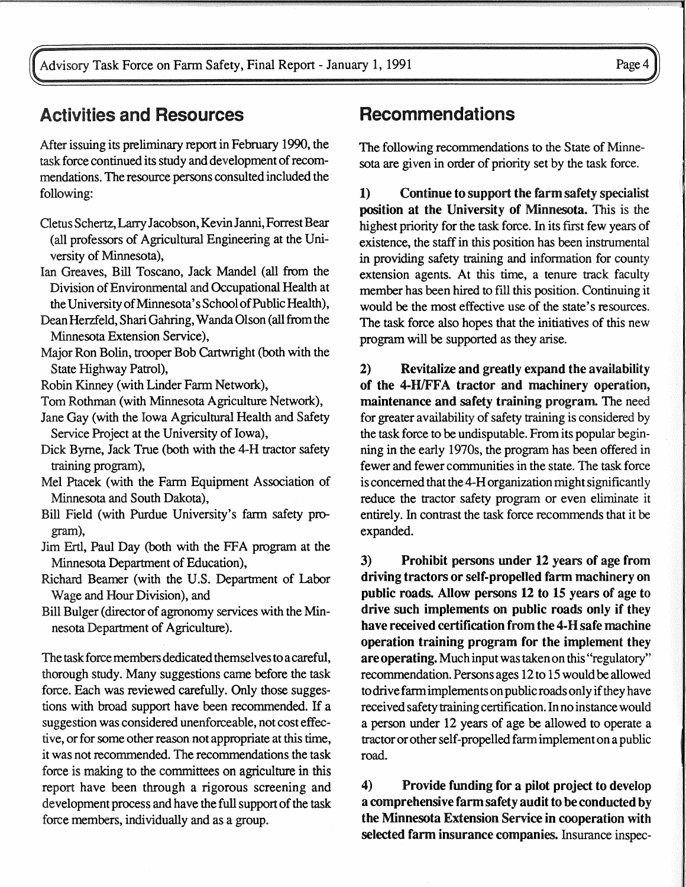Advisory Task Force on Farm Safety, Final Report - January 1, 1991 Page 4

## Activities and Resources

After issuing its preliminary report in February 1990, the task force continued its study and development of recommendations. The resource persons consulted included the following:

- Cletus Schertz, Larry Jacobson, Kevin Janni, Forrest Bear (all professors of Agricultural Engineering at the University of Minnesota),
- Ian Greaves, Bill Toscano, Jack Mandel (all from the Division of Environmental and Occupational Health at the University of Minnesota's School of Public Health),
- Dean Herzfeld, Shari Gahring, Wanda Olson (all from the Minnesota Extension Service),
- Major Ron Bolin, trooper Bob Cartwright (both with the State Highway Patrol),
- Robin Kinney (with Linder Farm Network),
- Tom Rothman (with Minnesota Agriculture Network),
- Jane Gay (with the Iowa Agricultural Health and Safety Service Project at the University of Iowa),
- Dick Byrne, Jack True (both with the 4-H tractor safety training program),
- Mel Ptacek (with the Farm Equipment Association of Minnesota and South Dakota),
- Bill Field (with Purdue University's farm safety program),
- Jim Ertl, Paul Day (both with the FFA program at the Minnesota Department of Education),
- Richard Beamer (with the U.S. Department of Labor Wage and Hour Division), and
- Bill Bulger (director of agronomy services with the Minnesota Department of Agriculture).

The task force members dedicated themselves to a careful, thorough study. Many suggestions came before the task force. Each was reviewed carefully. Only those suggestions with broad support have been recommended. If a suggestion was considered unenforceable, not cost effective, or for some other reason not appropriate at this time, it was not recommended. The recommendations the task force is making to the committees on agriculture in this report have been through a rigorous screening and development process and have the full support of the task force members, individually and as a group.

# Recommendations

The following recommendations to the State of Minnesota are given in order of priority set by the task force.

1) Continue to support the farm safety specialist position at the University of Minnesota. This is the highest priority for the task force. In its first few years of existence, the staff in this position has been instrumental in providing safety training and information for county extension agents. At this time, a tenure track faculty member has been hired to fill this position. Continuing it would be the most effective use of the state's resources. The task force also hopes that the initiatives of this new program will be supported as they arise.

2) Revitalize and greatly expand the availability of the 4-H/FFA tractor and machinery operation, maintenance and safety training program. The need for greater availability of safety training is considered by the task force to be undisputable. From its popular beginning in the early 1970s, the program has been offered in fewer and fewer communities in the state. The task force is concerned that the 4-H organization might significantly reduce the tractor safety program or even eliminate it entirely. In contrast the task force recommends that it be expanded.

3) Prohibit persons under 12 years of age from driving tractors or self-propelled farm machinery on public roads. Allow persons 12 to 15 years of age to drive such implements on public roads only if they have received certification from the 4-H safe machine operation training program for the implement they are operating. Much input was taken on this "regulatory" recommendation. Persons ages 12 to 15 would be allowed to drive farm implements on public roads only if they have received safety training certification. In no instance would a person under 12 years of age be allowed to operate a tractor or other self-propelled farm implement on a public road.

4) Provide funding for a pilot project to develop a comprehensive farm safety audit to be conducted by the Minnesota Extension Service in cooperation with selected farm insurance companies. Insurance inspec-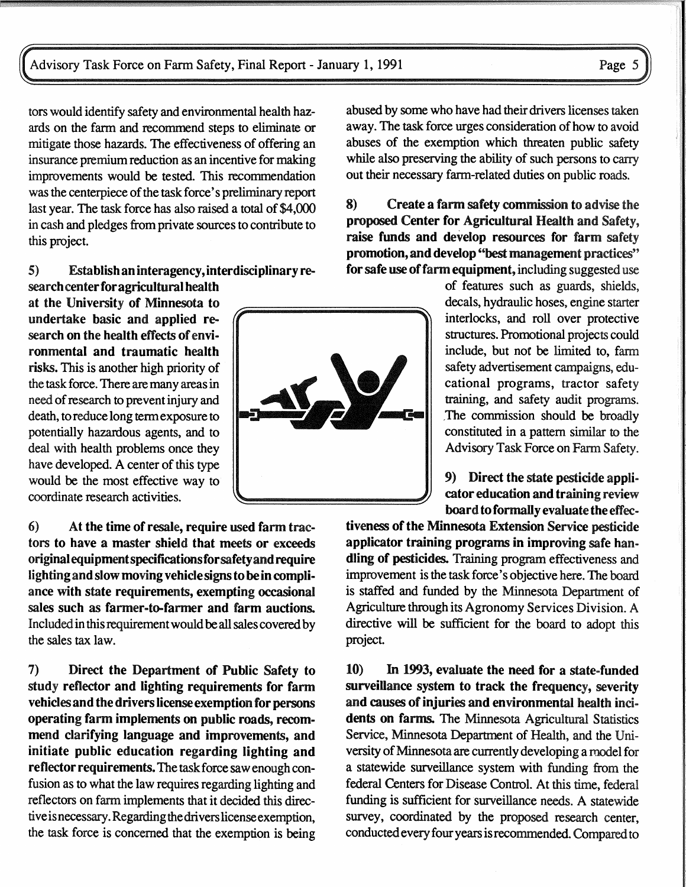tors would identify safety and environmental health hazards on the farm and recommend steps to eliminate or mitigate those hazards. The effectiveness of offering an insurance premium reduction as an incentive for making improvements would be tested. This recommendation was the centerpiece of the task force's preliminary report last year. The task force has also raised a total of \$4,000 in cash and pledges from private sources to contribute to this project.

#### 5) Establish an interagency, interdisciplinary research center for agricultural health

at the University of Minnesota to undertake basic and applied research on the health effects of environmental and traumatic health risks. This is another high priority of the task force. There are many areas in need of research to prevent injury and death, to reduce long term exposure to potentially hazardous agents, and to deal with health problems once they have developed. A center of this type would be the most effective way to coordinate research activities.

6) At the time of resale, require used farm tractors to have a master shield that meets or exceeds originalequipmentspecificationsforsafetyandrequire lighting and slow moving vehicle signs to be in compliance with state requirements, exempting occasional sales such as farmer-to-farmer and farm auctions. Included in this requirement would be all sales covered by the sales tax law.

7) Direct the Department of Public Safety to study reflector and lighting requirements for farm vehicles and the drivers license exemption for persons operating farm implements on public roads, recommend clarifying language and improvements, and initiate public education regarding lighting and reflector requirements. The task force saw enough confusion as to what the law requires regarding lighting and reflectors on farm implements that it decided this directive is necessary. Regarding the drivers license exemption, the task force is concerned that the exemption is being

abused by some who have had their drivers licenses taken away. The task force urges consideration of how to avoid abuses of the exemption which threaten public safety while also preserving the ability of such persons to carry out their necessary farm-related duties on public roads.

8) Create a farm safety commission to advise the proposed Center for Agricultural Health and Safety, raise funds and develop resources for farm safety promotion, and develop "best management practices'' for safe use of farm equipment, including suggested use

of features such as guards, shields, decals, hydraulic hoses, engine starter interlocks, and roll over protective structures. Promotional projects could include, but not be limited to, farm safety advertisement campaigns, educational programs, tractor safety training, and safety audit programs. The commission should be broadly constituted in a pattern similar to the Advisory Task Force on Farm Safety.

9) Direct the state pesticide applicator education and training review board to formally evaluate the effec-

tiveness of the Minnesota Extension Service pesticide applicator training programs in improving safe handling of pesticides. Training program effectiveness and improvement is the task force's objective here. The board is staffed and funded by the Minnesota Department of Agriculture through its Agronomy Services Division. A directive will be sufficient for the board to adopt this project.

10) In 1993, evaluate the need for a state-funded surveillance system to track the frequency, severity and causes of injuries and environmental health ind· dents on farms. The Minnesota Agricultural Statistics Service, Minnesota Department of Health, and the University of Minnesota are currently developing a model for a statewide surveillance system with funding from the federal Centers for Disease Control. At this time, federal funding is sufficient for surveillance needs. A statewide survey, coordinated by the proposed research center, conducted every four years is recommended. Compared to

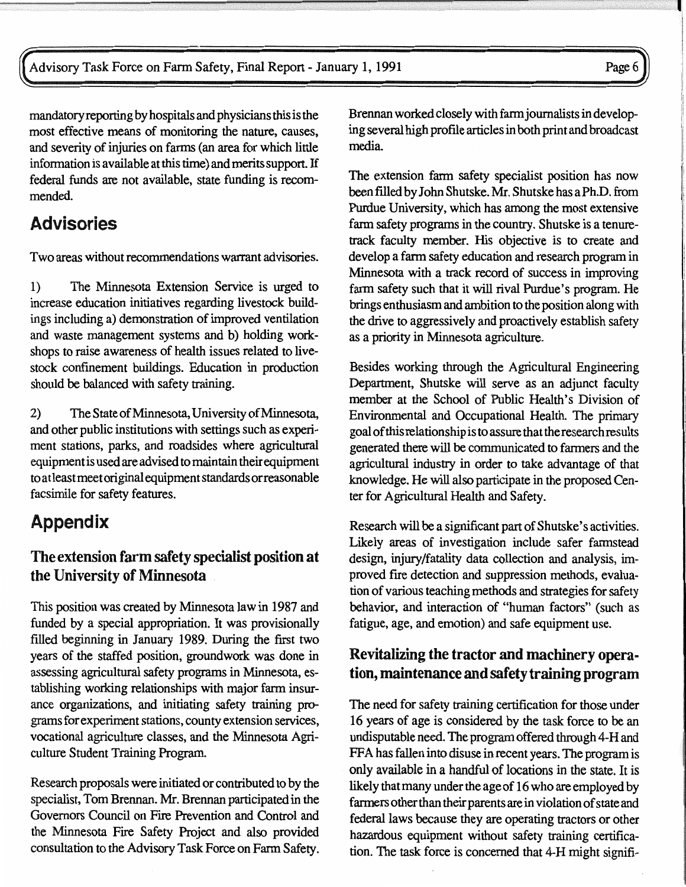mandatory reporting by hospitals and physicians this is the most effective means of monitoring the nature, causes, and severity of injuries on fanns (an area for which little information is available at this time) and merits support. If federal funds are not available, state funding is recommended.

# Advisories

Two areas without recommendations warrant advisories.

1) The Minnesota Extension Service is urged to increase education initiatives regarding livestock buildings including a) demonstration of improved ventilation and waste management systems and b) holding workshops to raise awareness of health issues related to livestock confinement buildings. Education in production should be balanced with safety training.

2) The State of Minnesota, University of Minnesota, and other public institutions with settings such as experiment stations, parks, and roadsides where agricultural equipment is used are advised to maintain their equipment to atleastmeet original equipment standards orreasonable facsimile for safety features.

# Appendix

#### The extension farm safety specialist position at the University of Minnesota

This position was created by Minnesota law in 1987 and funded by a special appropriation. It was provisionally filled beginning in January 1989. During the first two years of the staffed position, groundwork was done in assessing agricultural safety programs in Minnesota, establishing working relationships with major farm insurance organizations, and initiating safety training programs for experiment stations, county extension services, vocational agriculture classes, and the Minnesota Agriculture Student Training Program.

Research proposals were initiated or contributed to by the specialist, Tom Brennan. Mr. Brennan participated in the Governors Council on Fire Prevention and Control and the Minnesota Fire Safety Project and also provided consultation to the Advisory Task Force on Farm Safety.

Brennan worked closely with farm journalists in developing several high profile articles in both print and broadcast media

The extension farm safety specialist position has now been filled by John Shutske. Mr. Shutske has a Ph.D. from Purdue University, which has among the most extensive farm safety programs in the country. Shutske is a tenuretrack faculty member. His objective is to create and develop a farm safety education and research program in Minnesota with a track record of success in improving farm safety such that it will rival Purdue's program. He brings enthusiasm and ambition to the position along with the drive to aggressively and proactively establish safety as a priority in Minnesota agriculture.

Besides working through the Agricultural Engineering Department, Shutske will serve as an adjunct faculty member at the School of Public Health's Division of Environmental and Occupational Health. The primary goal of this relationship is to assure that the research results generated there will be communicated to farmers and the agricultural industry in order to take advantage of that knowledge. He will also participate in the proposed Center for Agricultural Health and Safety.

Research will be a significant part of Shutske's activities. Likely areas of investigation include safer farmstead design, injury/fatality data collection and analysis, improved fire detection and suppression methods, evaluation of various teaching methods and strategies for safety behavior, and interaction of "human factors" (such as fatigue, age, and emotion) and safe equipment use.

#### Revitalizing the tractor and machinery operation, maintenance and safety training program

The need for safety training certification for those under 16 years of age is considered by the task force to be an undisputable need. The program offered through 4-H and FFA has fallen into disuse in recent years. The program is only available in a handful of locations in the state. It is likely that many under the age of 16 who are employed by fanners other than their parents are in violation of state and federal laws because they are operating tractors or other hazardous equipment without safety training certification. The task force is concerned that 4-H might signifi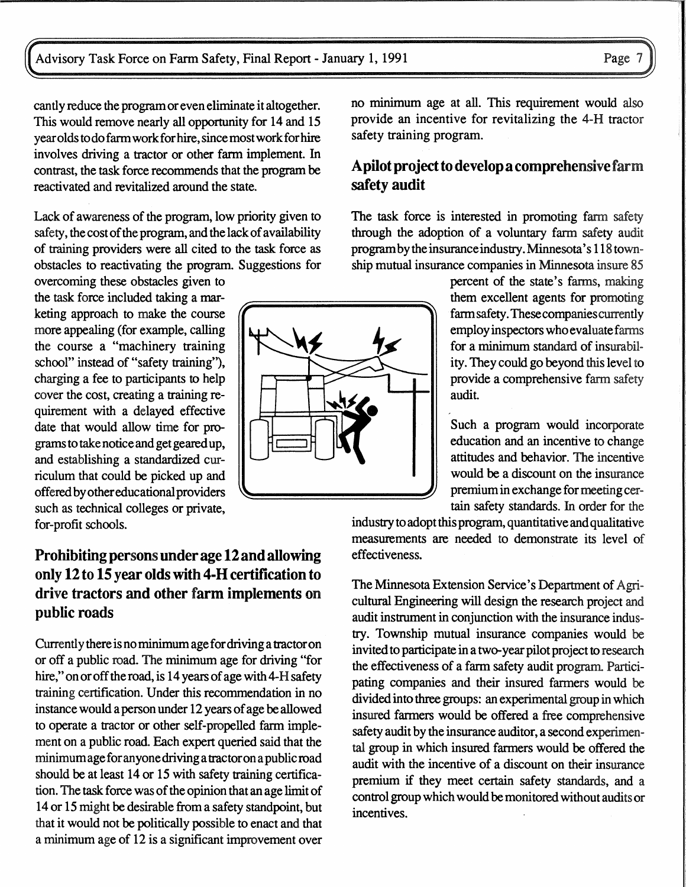cantly reduce the program or even eliminate it altogether. This would remove nearly all opportunity for 14 and 15 year olds to do farm work for hire, since most work for hire involves driving a tractor or other farm implement. In contrast, the task force recommends that the program be reactivated and revitalized around the state.

Lack of awareness of the program, low priority given to safety, the cost of the program, and the lack of availability of training providers were all cited to the task force as obstacles to reactivating the program. Suggestions for

overcoming these obstacles given to the task force included taking a marketing approach to make the course more appealing (for example, calling the course a "machinery training school" instead of "safety training"), charging a fee to participants to help cover the cost, creating a training requirement with a delayed effective date that would allow time for programs to take notice and get geared up, and establishing a standardized curriculum that could be picked up and offered by other educational providers such as technical colleges or private, for-profit schools.

## Prohibiting persons under age 12 and allowing only 12to15 year olds with 4-H certification to drive tractors and other farm implements on public roads

Currently there is no minimum age fordriving a tractor on or off a public road. The minimum age for driving "for hire," on or off the road, is 14 years of age with 4-H safety training certification. Under this recommendation in no instance would a person under 12 years of age be allowed to operate a tractor or other self-propelled farm implement on a public road. Each expert queried said that the minimum age for anyone driving a tractor on a public road should be at least 14 or 15 with safety training certification. The task force was of the opinion that an age limit of 14 or 15 might be desirable from a safety standpoint, but that it would not be politically possible to enact and that a minimum age of 12 is a significant improvement over no minimum age at all. This requirement would also provide an incentive for revitalizing the 4-H tractor safety training program.

#### A pilot project to develop a comprehensive farm safety audit

The task force is interested in promoting farm safety through the adoption of a voluntary farm safety audit program by the insurance industry. Minnesota's 118 township mutual insurance companies in Minnesota insure

> percent of the state's farms, making them excellent agents for promoting farm safety. These companies currently employ inspectors who evaluate fanns for a minimum standard of insurability. They could go beyond this level to provide a comprehensive farm safety audit.

> Such a program would incorporate education and an incentive to change attitudes and behavior. The incentive would be a discount on the insurance premium in exchange for meeting certain safety standards. In order for the

industry to adopt this program, quantitative and qualitative measurements are needed to demonstrate its level of effectiveness.

The Minnesota Extension Service's Department of Agricultural Engineering will design the research project and audit instrument in conjunction with the insurance industry. Township mutual insurance companies would be invited to participate in a two-year pilot project to research the effectiveness of a farm safety audit program. Participating companies and their insured farmers would be divided into three groups: an experimental group in which insured farmers would be offered a free comprehensive safety audit by the insurance auditor, a second experimental group in which insured farmers would be offered the audit with the incentive of a discount on their insurance premium if they meet certain safety standards, and a control group which would be monitored without audits or incentives.

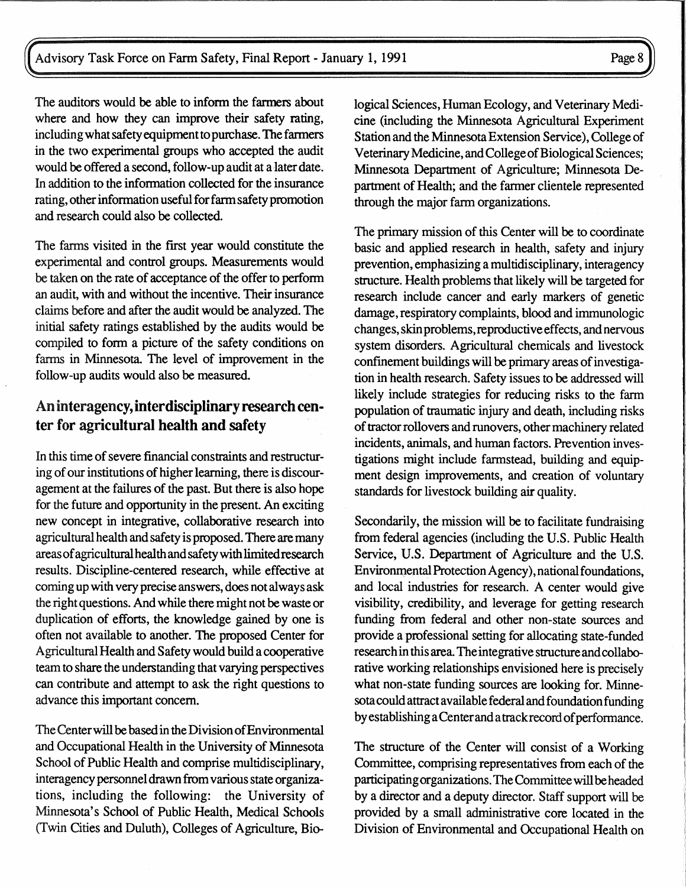The auditors would be able to inform the farmers about where and how they can improve their safety rating, including what safety equipment to purchase. The farmers in the two experimental groups who accepted the audit would be offered a second, follow-up audit at a later date. In addition to the information collected for the insurance rating, other information useful for farm safety promotion and research could also be collected.

The farms visited in the first year would constitute the experimental and control groups. Measurements would be taken on the rate of acceptance of the offer to perform an audit, with and without the incentive. Their insurance claims before and after the audit would be analyzed. The initial safety ratings established by the audits would be compiled to form a picture of the safety conditions on farms in Minnesota. The level of improvement in the follow-up audits would also be measured.

#### An interagency, interdisciplinary research center for agricultural health and safety

In this time of severe financial constraints and restructuring of our institutions of higher learning, there is discouragement at the failures of the past. But there is also hope for the future and opportunity in the present. An exciting new concept in integrative, collaborative research into agricultural health and safety is proposed. There are many areas of agricultural health and safety with limited research results. Discipline-centered research, while effective at coming up with very precise answers, does not always ask the right questions. And while there might not be waste or duplication of efforts, the knowledge gained by one is often not available to another. The proposed Center for Agricultural Health and Safety would build a cooperative team to share the understanding that varying perspectives can contribute and attempt to ask the right questions to advance this important concern.

The Center will be based in the Division of Environmental and Occupational Health in the University of Minnesota School of Public Health and comprise multidisciplinary, interagency personnel drawn from various state organizations, including the following: the University of Minnesota's School of Public Health, Medical Schools (Twin Cities and Duluth), Colleges of Agriculture, Biological Sciences, Human Ecology, and Veterinary Medicine (including the Minnesota Agricultural Experiment Station and the Minnesota Extension Service), College of Veterinary Medicine, and College of Biological Sciences; Minnesota Department of Agriculture; Minnesota Department of Health; and the fanner clientele represented through the major farm organizations.

The primary mission of this Center will be to coordinate basic and applied research in health, safety and injury prevention, emphasizing a multidisciplinary, interagency structure. Health problems that likely will be targeted for research include cancer and early markers of genetic damage, respiratory complaints, blood and immunologic changes, skin problems, reproductive effects, and nervous system disorders. Agricultural chemicals and livestock confinement buildings will be primary areas of investigation in health research. Safety issues to be addressed will likely include strategies for reducing risks to the farm population of traumatic injury and death, including risks of tractor rollovers and runovers, other machinery related incidents, animals, and human factors. Prevention investigations might include farmstead, building and equipment design improvements, and creation of voluntary standards for livestock building air quality.

Secondarily, the mission will be to facilitate fundraising from federal agencies (including the U.S. Public Health Service, U.S. Department of Agriculture and the U.S. Environmental Protection Agency), national foundations, and local industries for research. A center would give visibility, credibility, and leverage for getting research funding from federal and other non-state sources and provide a professional setting for allocating state-funded research in this area The integrative structure and collaborative working relationships envisioned here is precisely what non-state funding sources are looking for. Minnesota could attract available federal and foundation funding by establishing a Center and a track record of performance.

The structure of the Center will consist of a Working Committee, comprising representatives from each of the participating organizations. The Committee will be headed by a director and a deputy director. Staff support will be provided by a small administrative core located in the Division of Environmental and Occupational Health on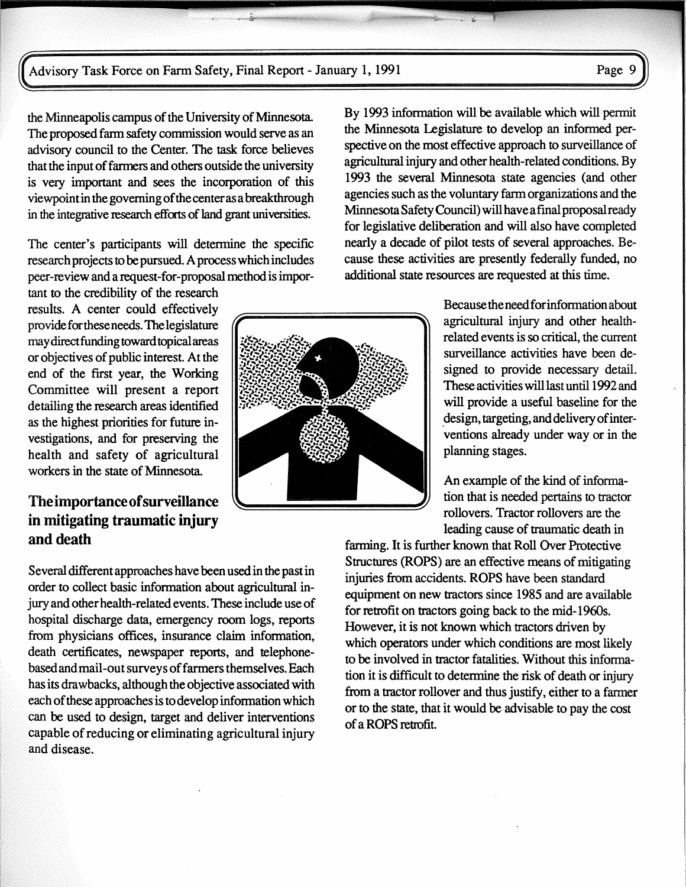the Minneapolis campus of the University of Minnesota. The proposed farm safety commission would serve as an advisory council to the Center. The task force believes that the input of fanners and others outside the university is very important and sees the incorporation of this viewpoint in the governing of the center as a breakthrough in the integrative research efforts of land grant universities.

The center's participants will determine the specific research projects to be pursued. A process which includes peer-review and a request-for-proposal method is impor-

tant to the credibility of the research results. A center could effectively provide for these needs. The legislature may direct funding toward topical areas or objectives of public interest At the end of the first year, the Working Committee will present a report detailing the research areas identified as the highest priorities for future investigations, and for preserving the health and safety of agricultural workers in the state of Minnesota.

#### The importance of surveillance in mitigating traumatic injury and death

Several different approaches have been used in the past in order to collect basic information about agricultural injury and other health-related events. These include use of hospital discharge data, emergency room logs, reports from physicians offices, insurance claim information, death certificates, newspaper reports, and telephonebased and mail-out surveys of farmers themselves. Each has its drawbacks, although the objective associated with each of these approaches is to develop information which can be used to design, target and deliver interventions capable of reducing or eliminating agricultural injury and disease.

By 1993 information will be available which will permit the Minnesota Legislature to develop an informed perspective on the most effective approach to surveillance of agricultural injury and other health-related conditions. By 1993 the several Minnesota state agencies (and other agencies such as the voluntary fann organizations and the Minnesota Safety Council) will have afinal proposal ready for legislative deliberation and will also have completed nearly a decade of pilot tests of several approaches. Because these activities are presently federally funded, no additional state resources are requested at this time.

> Because the needforinfonnation about agricultural injury and other healthrelated events is so critical, the current surveillance activities have been designed to provide necessary detail. These activities will last until 1992 and will provide a useful baseline for the design, targeting, and delivery of interventions already under way or in the planning stages.

An example of the kind of information that is needed pertains to tractor rollovers. Tractor rollovers are the leading cause of traumatic death in

farming. It is further known that Roll Over Protective Structures (ROPS) are an effective means of mitigating injuries from accidents. ROPS have been standard equipment on new tractors since 1985 and are available for retrofit on tractors going back to the mid-1960s. However, it is not known which tractors driven by which operators under which conditions are most likely to be involved in tractor fatalities. Without this information it is difficult to determine the risk of death or injury from a tractor rollover and thus justify, either to a fanner or to the state, that it would be advisable to pay the cost of a ROPS retrofit